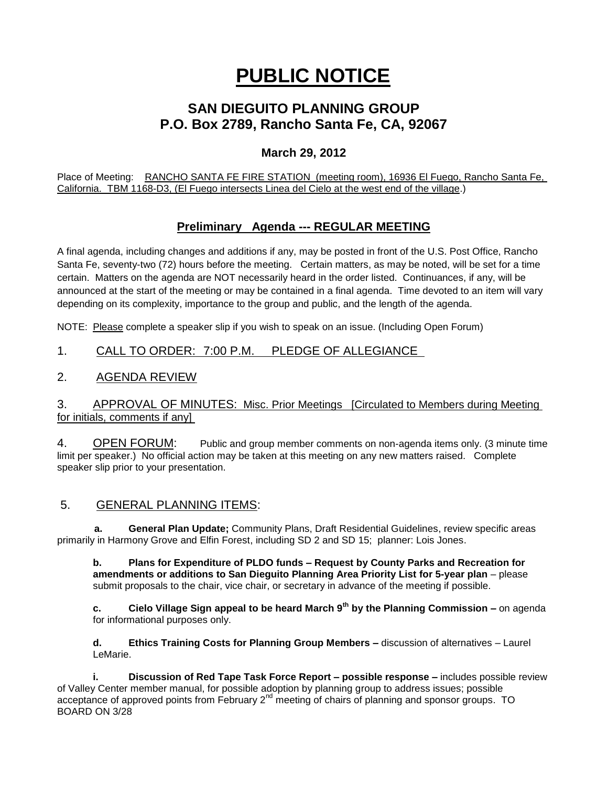# **PUBLIC NOTICE**

# **SAN DIEGUITO PLANNING GROUP P.O. Box 2789, Rancho Santa Fe, CA, 92067**

## **March 29, 2012**

Place of Meeting: RANCHO SANTA FE FIRE STATION (meeting room), 16936 El Fuego, Rancho Santa Fe, California. TBM 1168-D3, (El Fuego intersects Linea del Cielo at the west end of the village.)

# **Preliminary Agenda --- REGULAR MEETING**

A final agenda, including changes and additions if any, may be posted in front of the U.S. Post Office, Rancho Santa Fe, seventy-two (72) hours before the meeting. Certain matters, as may be noted, will be set for a time certain. Matters on the agenda are NOT necessarily heard in the order listed. Continuances, if any, will be announced at the start of the meeting or may be contained in a final agenda. Time devoted to an item will vary depending on its complexity, importance to the group and public, and the length of the agenda.

NOTE: Please complete a speaker slip if you wish to speak on an issue. (Including Open Forum)

## 1. CALL TO ORDER: 7:00 P.M. PLEDGE OF ALLEGIANCE

### 2. AGENDA REVIEW

#### 3. APPROVAL OF MINUTES: Misc. Prior Meetings [Circulated to Members during Meeting for initials, comments if any]

4. OPEN FORUM: Public and group member comments on non-agenda items only. (3 minute time limit per speaker.) No official action may be taken at this meeting on any new matters raised. Complete speaker slip prior to your presentation.

### 5. GENERAL PLANNING ITEMS:

 **a. General Plan Update;** Community Plans, Draft Residential Guidelines, review specific areas primarily in Harmony Grove and Elfin Forest, including SD 2 and SD 15; planner: Lois Jones.

**b. Plans for Expenditure of PLDO funds – Request by County Parks and Recreation for amendments or additions to San Dieguito Planning Area Priority List for 5-year plan** – please submit proposals to the chair, vice chair, or secretary in advance of the meeting if possible.

**c. Cielo Village Sign appeal to be heard March 9th by the Planning Commission –** on agenda for informational purposes only.

**d. Ethics Training Costs for Planning Group Members –** discussion of alternatives – Laurel LeMarie.

**i. Discussion of Red Tape Task Force Report – possible response –** includes possible review of Valley Center member manual, for possible adoption by planning group to address issues; possible acceptance of approved points from February  $2^{nd}$  meeting of chairs of planning and sponsor groups. TO BOARD ON 3/28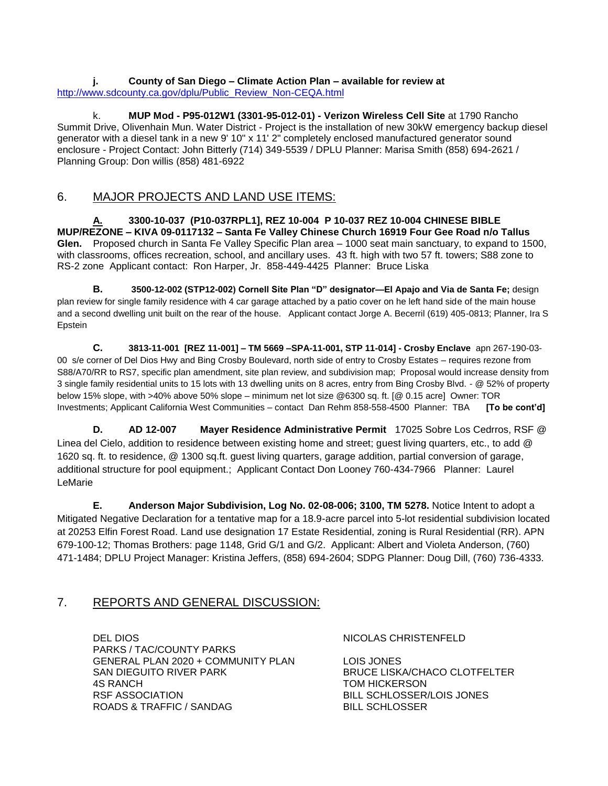**j. County of San Diego – Climate Action Plan – available for review at**  [http://www.sdcounty.ca.gov/dplu/Public\\_Review\\_Non-CEQA.html](http://www.sdcounty.ca.gov/dplu/Public_Review_Non-CEQA.html)

k. **MUP Mod - P95-012W1 (3301-95-012-01) - Verizon Wireless Cell Site** at 1790 Rancho Summit Drive, Olivenhain Mun. Water District - Project is the installation of new 30kW emergency backup diesel generator with a diesel tank in a new 9' 10" x 11' 2" completely enclosed manufactured generator sound enclosure - Project Contact: John Bitterly (714) 349-5539 / DPLU Planner: Marisa Smith (858) 694-2621 / Planning Group: Don willis (858) 481-6922

#### 6. MAJOR PROJECTS AND LAND USE ITEMS:

**A. 3300-10-037 (P10-037RPL1], REZ 10-004 P 10-037 REZ 10-004 CHINESE BIBLE MUP/REZONE – KIVA 09-0117132 – Santa Fe Valley Chinese Church 16919 Four Gee Road n/o Tallus Glen.** Proposed church in Santa Fe Valley Specific Plan area – 1000 seat main sanctuary, to expand to 1500, with classrooms, offices recreation, school, and ancillary uses. 43 ft. high with two 57 ft. towers; S88 zone to RS-2 zone Applicant contact: Ron Harper, Jr. 858-449-4425 Planner: Bruce Liska

**B. 3500-12-002 (STP12-002) Cornell Site Plan "D" designator—El Apajo and Via de Santa Fe; design** plan review for single family residence with 4 car garage attached by a patio cover on he left hand side of the main house and a second dwelling unit built on the rear of the house. Applicant contact Jorge A. Becerril (619) 405-0813; Planner, Ira S Epstein

**C. 3813-11-001 [REZ 11-001] – TM 5669 –SPA-11-001, STP 11-014] - Crosby Enclave** apn 267-190-03- 00 s/e corner of Del Dios Hwy and Bing Crosby Boulevard, north side of entry to Crosby Estates – requires rezone from S88/A70/RR to RS7, specific plan amendment, site plan review, and subdivision map; Proposal would increase density from 3 single family residential units to 15 lots with 13 dwelling units on 8 acres, entry from Bing Crosby Blvd. - @ 52% of property below 15% slope, with >40% above 50% slope – minimum net lot size @6300 sq. ft. [@ 0.15 acre] Owner: TOR Investments; Applicant California West Communities – contact Dan Rehm 858-558-4500 Planner: TBA **[To be cont'd]**

**D. AD 12-007 Mayer Residence Administrative Permit** 17025 Sobre Los Cedrros, RSF @ Linea del Cielo, addition to residence between existing home and street; guest living quarters, etc., to add @ 1620 sq. ft. to residence, @ 1300 sq.ft. guest living quarters, garage addition, partial conversion of garage, additional structure for pool equipment.; Applicant Contact Don Looney 760-434-7966 Planner: Laurel LeMarie

**E. Anderson Major Subdivision, Log No. 02-08-006; 3100, TM 5278.** Notice Intent to adopt a Mitigated Negative Declaration for a tentative map for a 18.9-acre parcel into 5-lot residential subdivision located at 20253 Elfin Forest Road. Land use designation 17 Estate Residential, zoning is Rural Residential (RR). APN 679-100-12; Thomas Brothers: page 1148, Grid G/1 and G/2. Applicant: Albert and Violeta Anderson, (760) 471-1484; DPLU Project Manager: Kristina Jeffers, (858) 694-2604; SDPG Planner: Doug Dill, (760) 736-4333.

#### 7. REPORTS AND GENERAL DISCUSSION:

DEL DIOS NICOLAS CHRISTENFELD PARKS / TAC/COUNTY PARKS GENERAL PLAN 2020 + COMMUNITY PLAN LOIS JONES<br>SAN DIEGUITO RIVER PARK BRUCE LISK 4S RANCH **TOM HICKERSON** RSF ASSOCIATION BILL SCHLOSSER/LOIS JONES ROADS & TRAFFIC / SANDAG BILL SCHLOSSER

BRUCE LISKA/CHACO CLOTFELTER